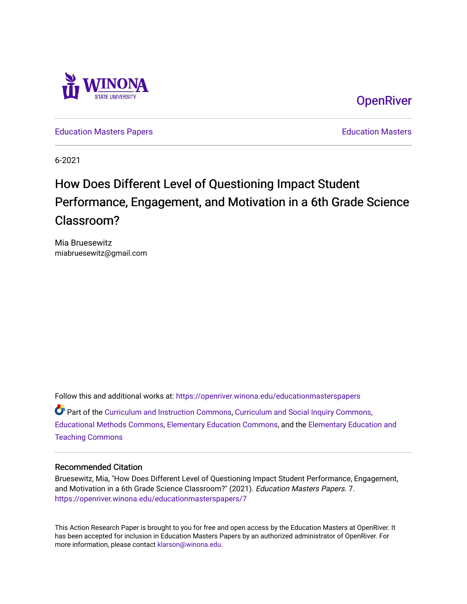

**OpenRiver** 

[Education Masters Papers](https://openriver.winona.edu/educationmasterspapers) **Education Masters** Papers **Education Masters** 

6-2021

# How Does Different Level of Questioning Impact Student Performance, Engagement, and Motivation in a 6th Grade Science Classroom?

Mia Bruesewitz miabruesewitz@gmail.com

Follow this and additional works at: [https://openriver.winona.edu/educationmasterspapers](https://openriver.winona.edu/educationmasterspapers?utm_source=openriver.winona.edu%2Feducationmasterspapers%2F7&utm_medium=PDF&utm_campaign=PDFCoverPages)   $\bullet$  Part of the [Curriculum and Instruction Commons,](http://network.bepress.com/hgg/discipline/786?utm_source=openriver.winona.edu%2Feducationmasterspapers%2F7&utm_medium=PDF&utm_campaign=PDFCoverPages) [Curriculum and Social Inquiry Commons,](http://network.bepress.com/hgg/discipline/1038?utm_source=openriver.winona.edu%2Feducationmasterspapers%2F7&utm_medium=PDF&utm_campaign=PDFCoverPages) [Educational Methods Commons,](http://network.bepress.com/hgg/discipline/1227?utm_source=openriver.winona.edu%2Feducationmasterspapers%2F7&utm_medium=PDF&utm_campaign=PDFCoverPages) [Elementary Education Commons](http://network.bepress.com/hgg/discipline/1378?utm_source=openriver.winona.edu%2Feducationmasterspapers%2F7&utm_medium=PDF&utm_campaign=PDFCoverPages), and the [Elementary Education and](http://network.bepress.com/hgg/discipline/805?utm_source=openriver.winona.edu%2Feducationmasterspapers%2F7&utm_medium=PDF&utm_campaign=PDFCoverPages) [Teaching Commons](http://network.bepress.com/hgg/discipline/805?utm_source=openriver.winona.edu%2Feducationmasterspapers%2F7&utm_medium=PDF&utm_campaign=PDFCoverPages)

#### Recommended Citation

Bruesewitz, Mia, "How Does Different Level of Questioning Impact Student Performance, Engagement, and Motivation in a 6th Grade Science Classroom?" (2021). Education Masters Papers. 7. [https://openriver.winona.edu/educationmasterspapers/7](https://openriver.winona.edu/educationmasterspapers/7?utm_source=openriver.winona.edu%2Feducationmasterspapers%2F7&utm_medium=PDF&utm_campaign=PDFCoverPages) 

This Action Research Paper is brought to you for free and open access by the Education Masters at OpenRiver. It has been accepted for inclusion in Education Masters Papers by an authorized administrator of OpenRiver. For more information, please contact [klarson@winona.edu](mailto:klarson@winona.edu).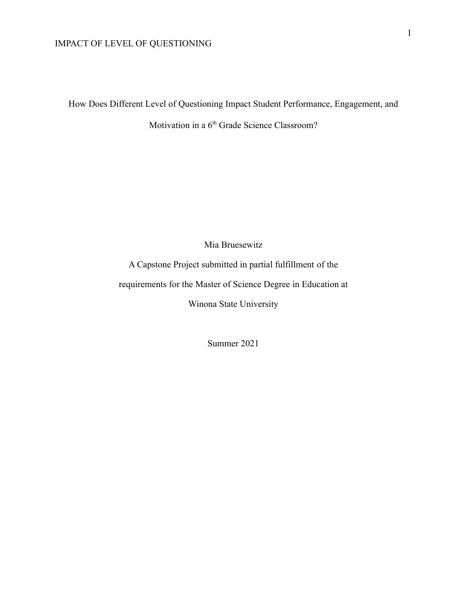How Does Different Level of Questioning Impact Student Performance, Engagement, and

Motivation in a 6<sup>th</sup> Grade Science Classroom?

Mia Bruesewitz

A Capstone Project submitted in partial fulfillment of the requirements for the Master of Science Degree in Education at

Winona State University

Summer 2021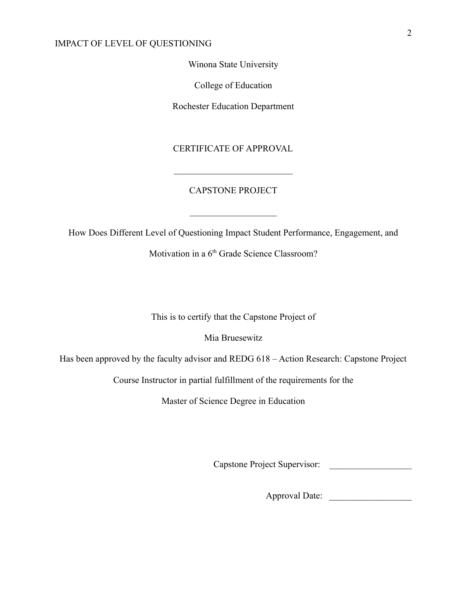Winona State University

College of Education

Rochester Education Department

### CERTIFICATE OF APPROVAL

### CAPSTONE PROJECT

 $\mathcal{L}_\text{max}$  , where  $\mathcal{L}_\text{max}$ 

 $\mathcal{L}_\text{max}$  , where  $\mathcal{L}_\text{max}$  and  $\mathcal{L}_\text{max}$ 

How Does Different Level of Questioning Impact Student Performance, Engagement, and

Motivation in a 6<sup>th</sup> Grade Science Classroom?

This is to certify that the Capstone Project of

Mia Bruesewitz

Has been approved by the faculty advisor and REDG 618 – Action Research: Capstone Project

Course Instructor in partial fulfillment of the requirements for the

Master of Science Degree in Education

Capstone Project Supervisor: \_\_\_\_\_\_\_\_\_\_\_\_\_\_\_\_\_\_

Approval Date: \_\_\_\_\_\_\_\_\_\_\_\_\_\_\_\_\_\_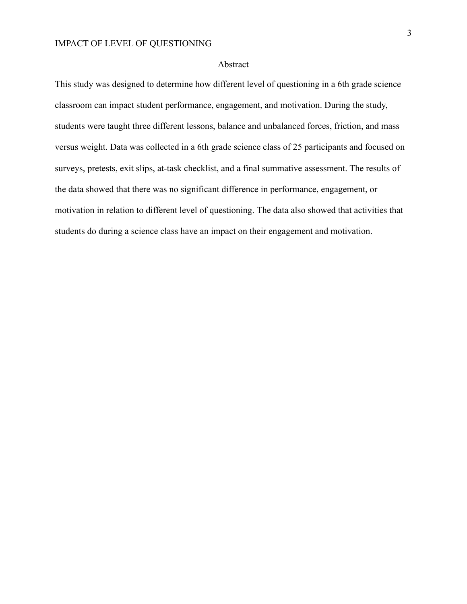#### Abstract

This study was designed to determine how different level of questioning in a 6th grade science classroom can impact student performance, engagement, and motivation. During the study, students were taught three different lessons, balance and unbalanced forces, friction, and mass versus weight. Data was collected in a 6th grade science class of 25 participants and focused on surveys, pretests, exit slips, at-task checklist, and a final summative assessment. The results of the data showed that there was no significant difference in performance, engagement, or motivation in relation to different level of questioning. The data also showed that activities that students do during a science class have an impact on their engagement and motivation.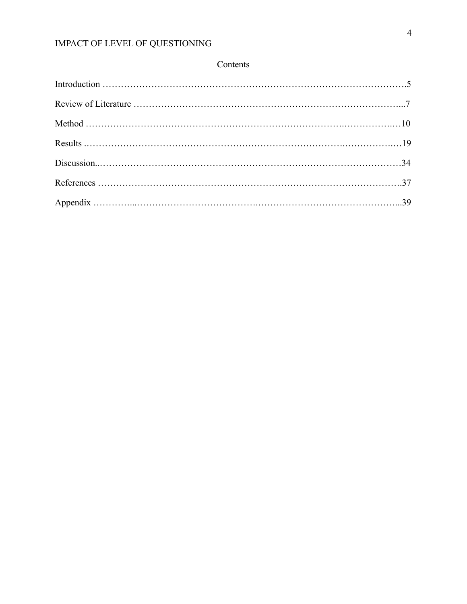## Contents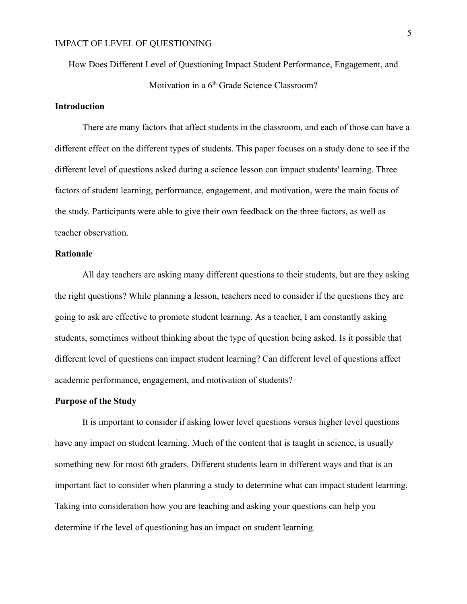How Does Different Level of Questioning Impact Student Performance, Engagement, and Motivation in a 6<sup>th</sup> Grade Science Classroom?

## **Introduction**

There are many factors that affect students in the classroom, and each of those can have a different effect on the different types of students. This paper focuses on a study done to see if the different level of questions asked during a science lesson can impact students' learning. Three factors of student learning, performance, engagement, and motivation, were the main focus of the study. Participants were able to give their own feedback on the three factors, as well as teacher observation.

#### **Rationale**

All day teachers are asking many different questions to their students, but are they asking the right questions? While planning a lesson, teachers need to consider if the questions they are going to ask are effective to promote student learning. As a teacher, I am constantly asking students, sometimes without thinking about the type of question being asked. Is it possible that different level of questions can impact student learning? Can different level of questions affect academic performance, engagement, and motivation of students?

#### **Purpose of the Study**

It is important to consider if asking lower level questions versus higher level questions have any impact on student learning. Much of the content that is taught in science, is usually something new for most 6th graders. Different students learn in different ways and that is an important fact to consider when planning a study to determine what can impact student learning. Taking into consideration how you are teaching and asking your questions can help you determine if the level of questioning has an impact on student learning.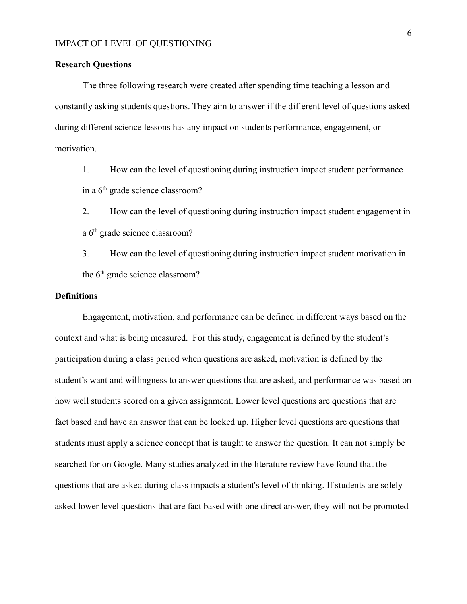#### **Research Questions**

The three following research were created after spending time teaching a lesson and constantly asking students questions. They aim to answer if the different level of questions asked during different science lessons has any impact on students performance, engagement, or motivation.

1. How can the level of questioning during instruction impact student performance in a 6<sup>th</sup> grade science classroom?

2. How can the level of questioning during instruction impact student engagement in a 6<sup>th</sup> grade science classroom?

3. How can the level of questioning during instruction impact student motivation in the 6<sup>th</sup> grade science classroom?

#### **Definitions**

Engagement, motivation, and performance can be defined in different ways based on the context and what is being measured. For this study, engagement is defined by the student's participation during a class period when questions are asked, motivation is defined by the student's want and willingness to answer questions that are asked, and performance was based on how well students scored on a given assignment. Lower level questions are questions that are fact based and have an answer that can be looked up. Higher level questions are questions that students must apply a science concept that is taught to answer the question. It can not simply be searched for on Google. Many studies analyzed in the literature review have found that the questions that are asked during class impacts a student's level of thinking. If students are solely asked lower level questions that are fact based with one direct answer, they will not be promoted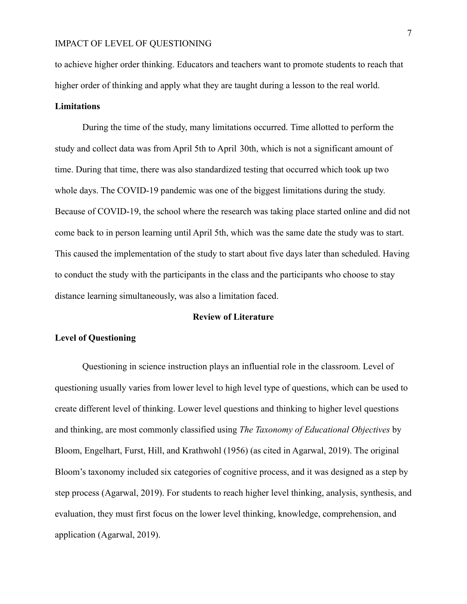to achieve higher order thinking. Educators and teachers want to promote students to reach that higher order of thinking and apply what they are taught during a lesson to the real world.

#### **Limitations**

During the time of the study, many limitations occurred. Time allotted to perform the study and collect data was from April 5th to April 30th, which is not a significant amount of time. During that time, there was also standardized testing that occurred which took up two whole days. The COVID-19 pandemic was one of the biggest limitations during the study. Because of COVID-19, the school where the research was taking place started online and did not come back to in person learning until April 5th, which was the same date the study was to start. This caused the implementation of the study to start about five days later than scheduled. Having to conduct the study with the participants in the class and the participants who choose to stay distance learning simultaneously, was also a limitation faced.

#### **Review of Literature**

#### **Level of Questioning**

Questioning in science instruction plays an influential role in the classroom. Level of questioning usually varies from lower level to high level type of questions, which can be used to create different level of thinking. Lower level questions and thinking to higher level questions and thinking, are most commonly classified using *The Taxonomy of Educational Objectives* by Bloom, Engelhart, Furst, Hill, and Krathwohl (1956) (as cited in Agarwal, 2019). The original Bloom's taxonomy included six categories of cognitive process, and it was designed as a step by step process (Agarwal, 2019). For students to reach higher level thinking, analysis, synthesis, and evaluation, they must first focus on the lower level thinking, knowledge, comprehension, and application (Agarwal, 2019).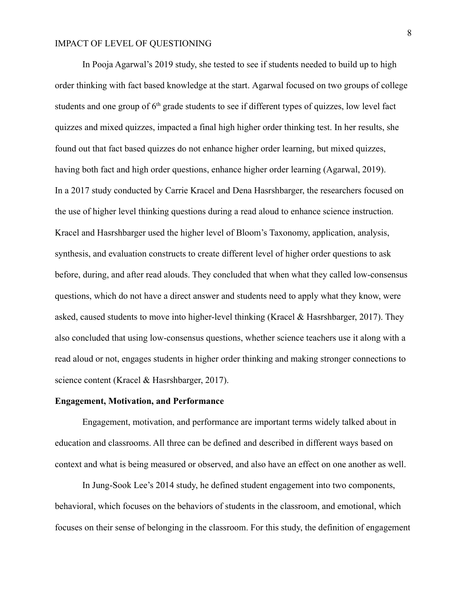In Pooja Agarwal's 2019 study, she tested to see if students needed to build up to high order thinking with fact based knowledge at the start. Agarwal focused on two groups of college students and one group of  $6<sup>th</sup>$  grade students to see if different types of quizzes, low level fact quizzes and mixed quizzes, impacted a final high higher order thinking test. In her results, she found out that fact based quizzes do not enhance higher order learning, but mixed quizzes, having both fact and high order questions, enhance higher order learning (Agarwal, 2019). In a 2017 study conducted by Carrie Kracel and Dena Hasrshbarger, the researchers focused on the use of higher level thinking questions during a read aloud to enhance science instruction. Kracel and Hasrshbarger used the higher level of Bloom's Taxonomy, application, analysis, synthesis, and evaluation constructs to create different level of higher order questions to ask before, during, and after read alouds. They concluded that when what they called low-consensus questions, which do not have a direct answer and students need to apply what they know, were asked, caused students to move into higher-level thinking (Kracel & Hasrshbarger, 2017). They also concluded that using low-consensus questions, whether science teachers use it along with a read aloud or not, engages students in higher order thinking and making stronger connections to science content (Kracel & Hasrshbarger, 2017).

#### **Engagement, Motivation, and Performance**

Engagement, motivation, and performance are important terms widely talked about in education and classrooms. All three can be defined and described in different ways based on context and what is being measured or observed, and also have an effect on one another as well.

In Jung-Sook Lee's 2014 study, he defined student engagement into two components, behavioral, which focuses on the behaviors of students in the classroom, and emotional, which focuses on their sense of belonging in the classroom. For this study, the definition of engagement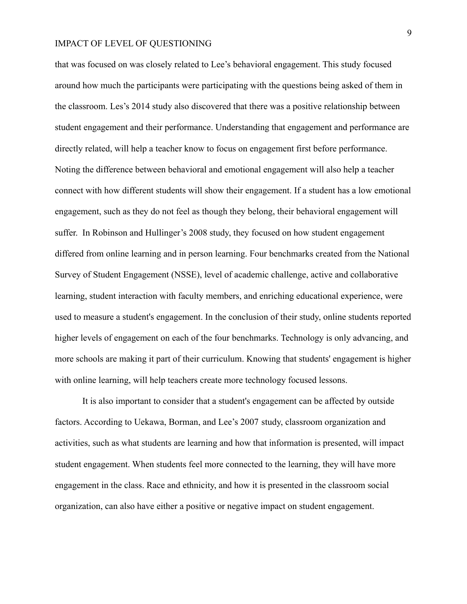that was focused on was closely related to Lee's behavioral engagement. This study focused around how much the participants were participating with the questions being asked of them in the classroom. Les's 2014 study also discovered that there was a positive relationship between student engagement and their performance. Understanding that engagement and performance are directly related, will help a teacher know to focus on engagement first before performance. Noting the difference between behavioral and emotional engagement will also help a teacher connect with how different students will show their engagement. If a student has a low emotional engagement, such as they do not feel as though they belong, their behavioral engagement will suffer. In Robinson and Hullinger's 2008 study, they focused on how student engagement differed from online learning and in person learning. Four benchmarks created from the National Survey of Student Engagement (NSSE), level of academic challenge, active and collaborative learning, student interaction with faculty members, and enriching educational experience, were used to measure a student's engagement. In the conclusion of their study, online students reported higher levels of engagement on each of the four benchmarks. Technology is only advancing, and more schools are making it part of their curriculum. Knowing that students' engagement is higher with online learning, will help teachers create more technology focused lessons.

It is also important to consider that a student's engagement can be affected by outside factors. According to Uekawa, Borman, and Lee's 2007 study, classroom organization and activities, such as what students are learning and how that information is presented, will impact student engagement. When students feel more connected to the learning, they will have more engagement in the class. Race and ethnicity, and how it is presented in the classroom social organization, can also have either a positive or negative impact on student engagement.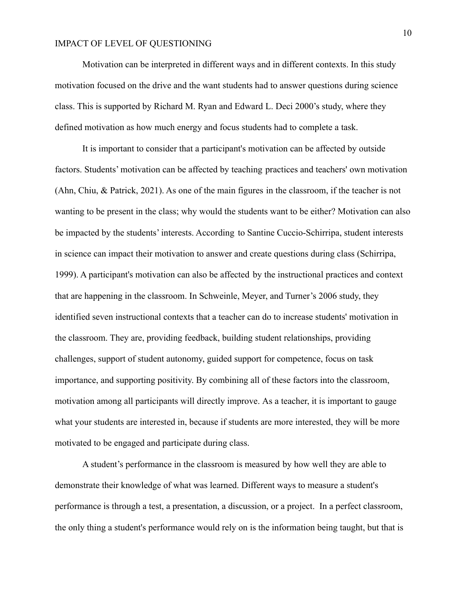Motivation can be interpreted in different ways and in different contexts. In this study motivation focused on the drive and the want students had to answer questions during science class. This is supported by Richard M. Ryan and Edward L. Deci 2000's study, where they defined motivation as how much energy and focus students had to complete a task.

It is important to consider that a participant's motivation can be affected by outside factors. Students' motivation can be affected by teaching practices and teachers' own motivation (Ahn, Chiu, & Patrick, 2021). As one of the main figures in the classroom, if the teacher is not wanting to be present in the class; why would the students want to be either? Motivation can also be impacted by the students' interests. According to Santine Cuccio-Schirripa, student interests in science can impact their motivation to answer and create questions during class (Schirripa, 1999). A participant's motivation can also be affected by the instructional practices and context that are happening in the classroom. In Schweinle, Meyer, and Turner's 2006 study, they identified seven instructional contexts that a teacher can do to increase students' motivation in the classroom. They are, providing feedback, building student relationships, providing challenges, support of student autonomy, guided support for competence, focus on task importance, and supporting positivity. By combining all of these factors into the classroom, motivation among all participants will directly improve. As a teacher, it is important to gauge what your students are interested in, because if students are more interested, they will be more motivated to be engaged and participate during class.

A student's performance in the classroom is measured by how well they are able to demonstrate their knowledge of what was learned. Different ways to measure a student's performance is through a test, a presentation, a discussion, or a project. In a perfect classroom, the only thing a student's performance would rely on is the information being taught, but that is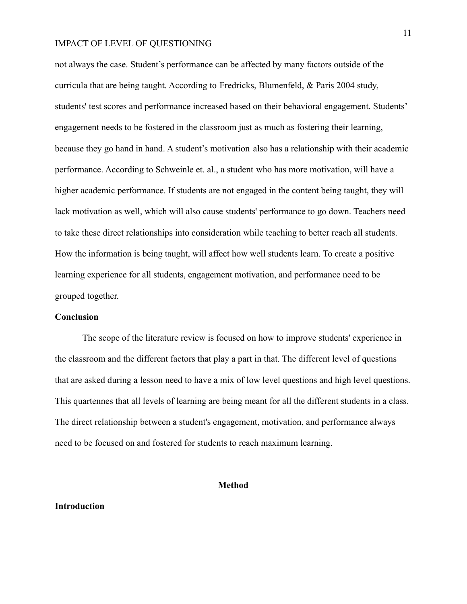not always the case. Student's performance can be affected by many factors outside of the curricula that are being taught. According to Fredricks, Blumenfeld, & Paris 2004 study, students' test scores and performance increased based on their behavioral engagement. Students' engagement needs to be fostered in the classroom just as much as fostering their learning, because they go hand in hand. A student's motivation also has a relationship with their academic performance. According to Schweinle et. al., a student who has more motivation, will have a higher academic performance. If students are not engaged in the content being taught, they will lack motivation as well, which will also cause students' performance to go down. Teachers need to take these direct relationships into consideration while teaching to better reach all students. How the information is being taught, will affect how well students learn. To create a positive learning experience for all students, engagement motivation, and performance need to be grouped together.

#### **Conclusion**

The scope of the literature review is focused on how to improve students' experience in the classroom and the different factors that play a part in that. The different level of questions that are asked during a lesson need to have a mix of low level questions and high level questions. This quartennes that all levels of learning are being meant for all the different students in a class. The direct relationship between a student's engagement, motivation, and performance always need to be focused on and fostered for students to reach maximum learning.

#### **Method**

#### **Introduction**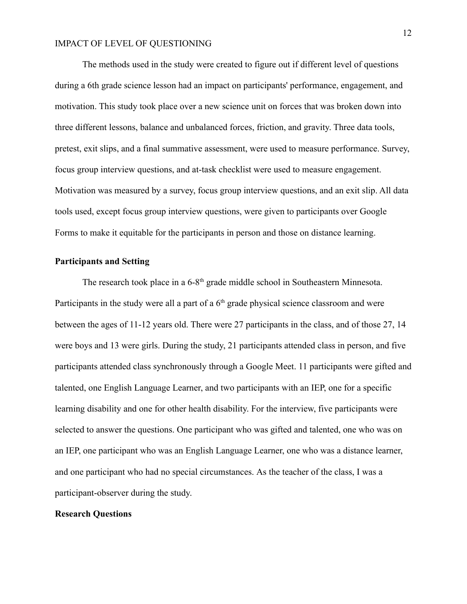The methods used in the study were created to figure out if different level of questions during a 6th grade science lesson had an impact on participants' performance, engagement, and motivation. This study took place over a new science unit on forces that was broken down into three different lessons, balance and unbalanced forces, friction, and gravity. Three data tools, pretest, exit slips, and a final summative assessment, were used to measure performance. Survey, focus group interview questions, and at-task checklist were used to measure engagement. Motivation was measured by a survey, focus group interview questions, and an exit slip. All data tools used, except focus group interview questions, were given to participants over Google Forms to make it equitable for the participants in person and those on distance learning.

#### **Participants and Setting**

The research took place in a 6-8<sup>th</sup> grade middle school in Southeastern Minnesota. Participants in the study were all a part of a  $6<sup>th</sup>$  grade physical science classroom and were between the ages of 11-12 years old. There were 27 participants in the class, and of those 27, 14 were boys and 13 were girls. During the study, 21 participants attended class in person, and five participants attended class synchronously through a Google Meet. 11 participants were gifted and talented, one English Language Learner, and two participants with an IEP, one for a specific learning disability and one for other health disability. For the interview, five participants were selected to answer the questions. One participant who was gifted and talented, one who was on an IEP, one participant who was an English Language Learner, one who was a distance learner, and one participant who had no special circumstances. As the teacher of the class, I was a participant-observer during the study.

#### **Research Questions**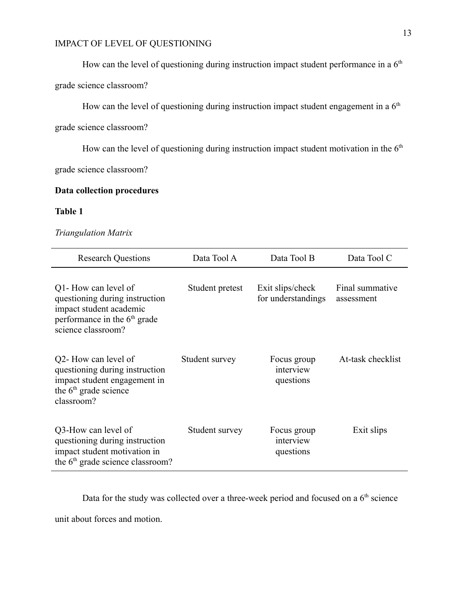How can the level of questioning during instruction impact student performance in a  $6<sup>th</sup>$ 

grade science classroom?

How can the level of questioning during instruction impact student engagement in a  $6<sup>th</sup>$ 

grade science classroom?

How can the level of questioning during instruction impact student motivation in the  $6<sup>th</sup>$ 

grade science classroom?

### **Data collection procedures**

## **Table 1**

#### *Triangulation Matrix*

| <b>Research Questions</b>                                                                                                                 | Data Tool A     | Data Tool B                            | Data Tool C                   |
|-------------------------------------------------------------------------------------------------------------------------------------------|-----------------|----------------------------------------|-------------------------------|
| Q1-How can level of<br>questioning during instruction<br>impact student academic<br>performance in the $6th$ grade<br>science classroom?  | Student pretest | Exit slips/check<br>for understandings | Final summative<br>assessment |
| Q2- How can level of<br>questioning during instruction<br>impact student engagement in<br>the 6 <sup>th</sup> grade science<br>classroom? | Student survey  | Focus group<br>interview<br>questions  | At-task checklist             |
| Q3-How can level of<br>questioning during instruction<br>impact student motivation in<br>the 6 <sup>th</sup> grade science classroom?     | Student survey  | Focus group<br>interview<br>questions  | Exit slips                    |

Data for the study was collected over a three-week period and focused on a 6<sup>th</sup> science

unit about forces and motion.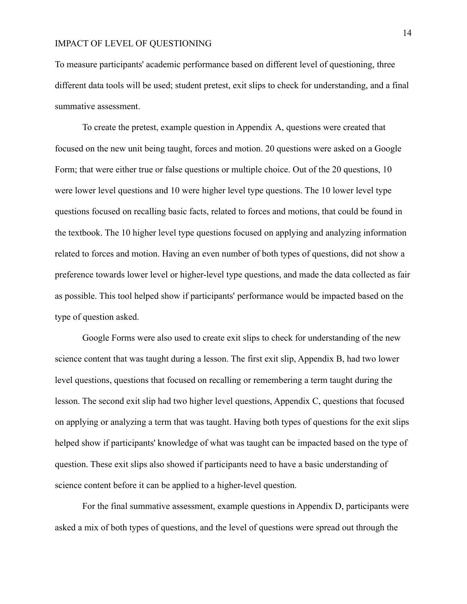To measure participants' academic performance based on different level of questioning, three different data tools will be used; student pretest, exit slips to check for understanding, and a final summative assessment.

To create the pretest, example question in Appendix A, questions were created that focused on the new unit being taught, forces and motion. 20 questions were asked on a Google Form; that were either true or false questions or multiple choice. Out of the 20 questions, 10 were lower level questions and 10 were higher level type questions. The 10 lower level type questions focused on recalling basic facts, related to forces and motions, that could be found in the textbook. The 10 higher level type questions focused on applying and analyzing information related to forces and motion. Having an even number of both types of questions, did not show a preference towards lower level or higher-level type questions, and made the data collected as fair as possible. This tool helped show if participants' performance would be impacted based on the type of question asked.

Google Forms were also used to create exit slips to check for understanding of the new science content that was taught during a lesson. The first exit slip, Appendix B, had two lower level questions, questions that focused on recalling or remembering a term taught during the lesson. The second exit slip had two higher level questions, Appendix C, questions that focused on applying or analyzing a term that was taught. Having both types of questions for the exit slips helped show if participants' knowledge of what was taught can be impacted based on the type of question. These exit slips also showed if participants need to have a basic understanding of science content before it can be applied to a higher-level question.

For the final summative assessment, example questions in Appendix D, participants were asked a mix of both types of questions, and the level of questions were spread out through the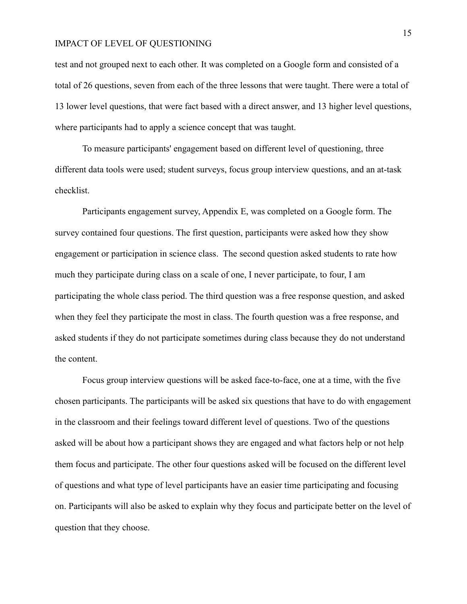test and not grouped next to each other. It was completed on a Google form and consisted of a total of 26 questions, seven from each of the three lessons that were taught. There were a total of 13 lower level questions, that were fact based with a direct answer, and 13 higher level questions, where participants had to apply a science concept that was taught.

To measure participants' engagement based on different level of questioning, three different data tools were used; student surveys, focus group interview questions, and an at-task checklist.

Participants engagement survey, Appendix E, was completed on a Google form. The survey contained four questions. The first question, participants were asked how they show engagement or participation in science class. The second question asked students to rate how much they participate during class on a scale of one, I never participate, to four, I am participating the whole class period. The third question was a free response question, and asked when they feel they participate the most in class. The fourth question was a free response, and asked students if they do not participate sometimes during class because they do not understand the content.

Focus group interview questions will be asked face-to-face, one at a time, with the five chosen participants. The participants will be asked six questions that have to do with engagement in the classroom and their feelings toward different level of questions. Two of the questions asked will be about how a participant shows they are engaged and what factors help or not help them focus and participate. The other four questions asked will be focused on the different level of questions and what type of level participants have an easier time participating and focusing on. Participants will also be asked to explain why they focus and participate better on the level of question that they choose.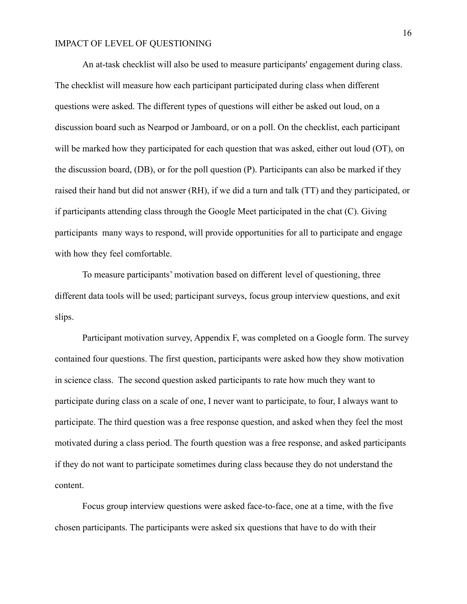An at-task checklist will also be used to measure participants' engagement during class. The checklist will measure how each participant participated during class when different questions were asked. The different types of questions will either be asked out loud, on a discussion board such as Nearpod or Jamboard, or on a poll. On the checklist, each participant will be marked how they participated for each question that was asked, either out loud (OT), on the discussion board, (DB), or for the poll question (P). Participants can also be marked if they raised their hand but did not answer (RH), if we did a turn and talk (TT) and they participated, or if participants attending class through the Google Meet participated in the chat (C). Giving participants many ways to respond, will provide opportunities for all to participate and engage with how they feel comfortable.

To measure participants' motivation based on different level of questioning, three different data tools will be used; participant surveys, focus group interview questions, and exit slips.

Participant motivation survey, Appendix F, was completed on a Google form. The survey contained four questions. The first question, participants were asked how they show motivation in science class. The second question asked participants to rate how much they want to participate during class on a scale of one, I never want to participate, to four, I always want to participate. The third question was a free response question, and asked when they feel the most motivated during a class period. The fourth question was a free response, and asked participants if they do not want to participate sometimes during class because they do not understand the content.

Focus group interview questions were asked face-to-face, one at a time, with the five chosen participants. The participants were asked six questions that have to do with their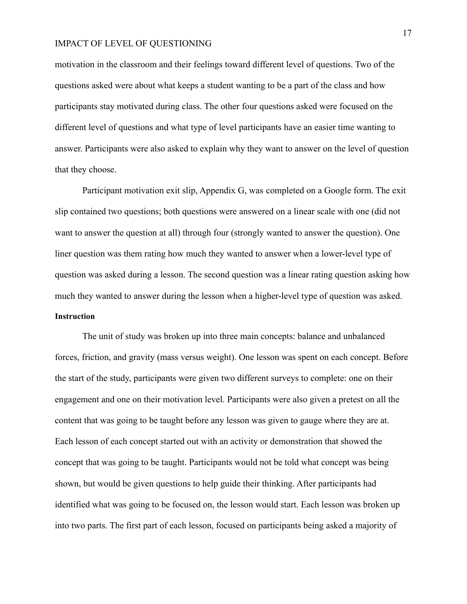motivation in the classroom and their feelings toward different level of questions. Two of the questions asked were about what keeps a student wanting to be a part of the class and how participants stay motivated during class. The other four questions asked were focused on the different level of questions and what type of level participants have an easier time wanting to answer. Participants were also asked to explain why they want to answer on the level of question that they choose.

Participant motivation exit slip, Appendix G, was completed on a Google form. The exit slip contained two questions; both questions were answered on a linear scale with one (did not want to answer the question at all) through four (strongly wanted to answer the question). One liner question was them rating how much they wanted to answer when a lower-level type of question was asked during a lesson. The second question was a linear rating question asking how much they wanted to answer during the lesson when a higher-level type of question was asked. **Instruction**

The unit of study was broken up into three main concepts: balance and unbalanced forces, friction, and gravity (mass versus weight). One lesson was spent on each concept. Before the start of the study, participants were given two different surveys to complete: one on their engagement and one on their motivation level. Participants were also given a pretest on all the content that was going to be taught before any lesson was given to gauge where they are at. Each lesson of each concept started out with an activity or demonstration that showed the concept that was going to be taught. Participants would not be told what concept was being shown, but would be given questions to help guide their thinking. After participants had identified what was going to be focused on, the lesson would start. Each lesson was broken up into two parts. The first part of each lesson, focused on participants being asked a majority of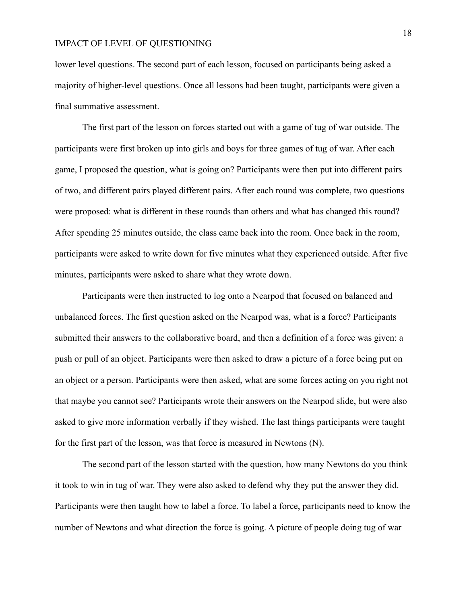lower level questions. The second part of each lesson, focused on participants being asked a majority of higher-level questions. Once all lessons had been taught, participants were given a final summative assessment.

The first part of the lesson on forces started out with a game of tug of war outside. The participants were first broken up into girls and boys for three games of tug of war. After each game, I proposed the question, what is going on? Participants were then put into different pairs of two, and different pairs played different pairs. After each round was complete, two questions were proposed: what is different in these rounds than others and what has changed this round? After spending 25 minutes outside, the class came back into the room. Once back in the room, participants were asked to write down for five minutes what they experienced outside. After five minutes, participants were asked to share what they wrote down.

Participants were then instructed to log onto a Nearpod that focused on balanced and unbalanced forces. The first question asked on the Nearpod was, what is a force? Participants submitted their answers to the collaborative board, and then a definition of a force was given: a push or pull of an object. Participants were then asked to draw a picture of a force being put on an object or a person. Participants were then asked, what are some forces acting on you right not that maybe you cannot see? Participants wrote their answers on the Nearpod slide, but were also asked to give more information verbally if they wished. The last things participants were taught for the first part of the lesson, was that force is measured in Newtons (N).

The second part of the lesson started with the question, how many Newtons do you think it took to win in tug of war. They were also asked to defend why they put the answer they did. Participants were then taught how to label a force. To label a force, participants need to know the number of Newtons and what direction the force is going. A picture of people doing tug of war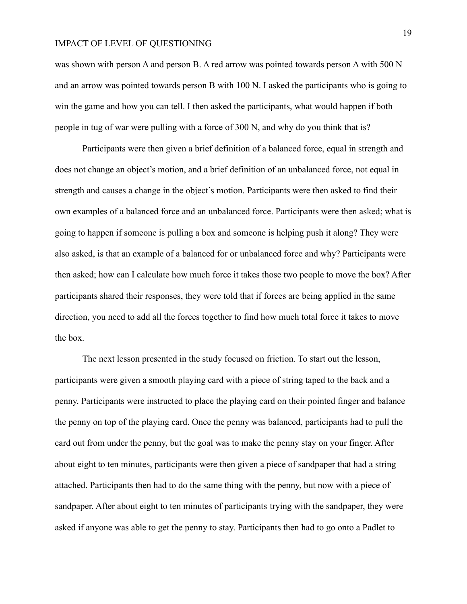was shown with person A and person B. A red arrow was pointed towards person A with 500 N and an arrow was pointed towards person B with 100 N. I asked the participants who is going to win the game and how you can tell. I then asked the participants, what would happen if both people in tug of war were pulling with a force of 300 N, and why do you think that is?

Participants were then given a brief definition of a balanced force, equal in strength and does not change an object's motion, and a brief definition of an unbalanced force, not equal in strength and causes a change in the object's motion. Participants were then asked to find their own examples of a balanced force and an unbalanced force. Participants were then asked; what is going to happen if someone is pulling a box and someone is helping push it along? They were also asked, is that an example of a balanced for or unbalanced force and why? Participants were then asked; how can I calculate how much force it takes those two people to move the box? After participants shared their responses, they were told that if forces are being applied in the same direction, you need to add all the forces together to find how much total force it takes to move the box.

The next lesson presented in the study focused on friction. To start out the lesson, participants were given a smooth playing card with a piece of string taped to the back and a penny. Participants were instructed to place the playing card on their pointed finger and balance the penny on top of the playing card. Once the penny was balanced, participants had to pull the card out from under the penny, but the goal was to make the penny stay on your finger. After about eight to ten minutes, participants were then given a piece of sandpaper that had a string attached. Participants then had to do the same thing with the penny, but now with a piece of sandpaper. After about eight to ten minutes of participants trying with the sandpaper, they were asked if anyone was able to get the penny to stay. Participants then had to go onto a Padlet to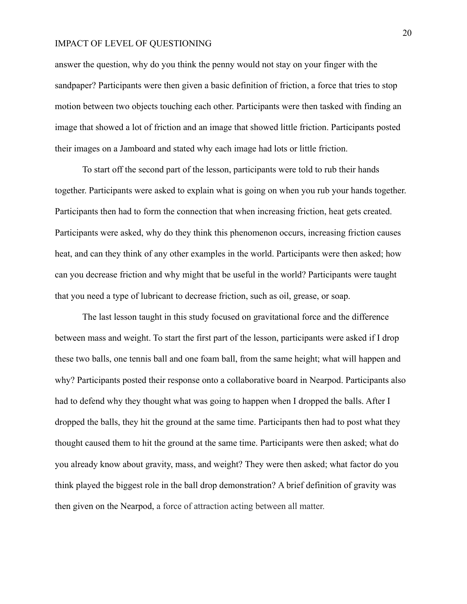answer the question, why do you think the penny would not stay on your finger with the sandpaper? Participants were then given a basic definition of friction, a force that tries to stop motion between two objects touching each other. Participants were then tasked with finding an image that showed a lot of friction and an image that showed little friction. Participants posted their images on a Jamboard and stated why each image had lots or little friction.

To start off the second part of the lesson, participants were told to rub their hands together. Participants were asked to explain what is going on when you rub your hands together. Participants then had to form the connection that when increasing friction, heat gets created. Participants were asked, why do they think this phenomenon occurs, increasing friction causes heat, and can they think of any other examples in the world. Participants were then asked; how can you decrease friction and why might that be useful in the world? Participants were taught that you need a type of lubricant to decrease friction, such as oil, grease, or soap.

The last lesson taught in this study focused on gravitational force and the difference between mass and weight. To start the first part of the lesson, participants were asked if I drop these two balls, one tennis ball and one foam ball, from the same height; what will happen and why? Participants posted their response onto a collaborative board in Nearpod. Participants also had to defend why they thought what was going to happen when I dropped the balls. After I dropped the balls, they hit the ground at the same time. Participants then had to post what they thought caused them to hit the ground at the same time. Participants were then asked; what do you already know about gravity, mass, and weight? They were then asked; what factor do you think played the biggest role in the ball drop demonstration? A brief definition of gravity was then given on the Nearpod, a force of attraction acting between all matter.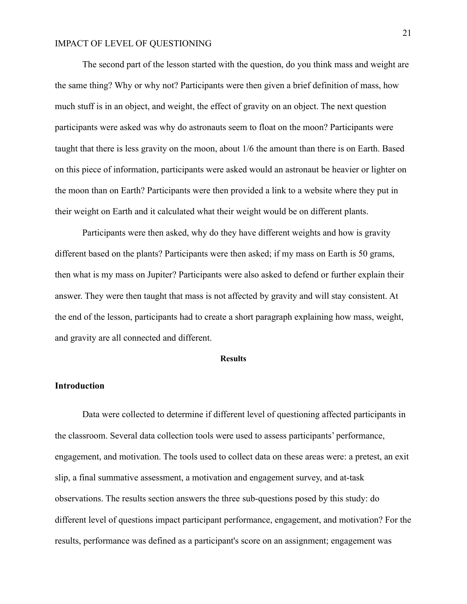The second part of the lesson started with the question, do you think mass and weight are the same thing? Why or why not? Participants were then given a brief definition of mass, how much stuff is in an object, and weight, the effect of gravity on an object. The next question participants were asked was why do astronauts seem to float on the moon? Participants were taught that there is less gravity on the moon, about 1/6 the amount than there is on Earth. Based on this piece of information, participants were asked would an astronaut be heavier or lighter on the moon than on Earth? Participants were then provided a link to a website where they put in their weight on Earth and it calculated what their weight would be on different plants.

Participants were then asked, why do they have different weights and how is gravity different based on the plants? Participants were then asked; if my mass on Earth is 50 grams, then what is my mass on Jupiter? Participants were also asked to defend or further explain their answer. They were then taught that mass is not affected by gravity and will stay consistent. At the end of the lesson, participants had to create a short paragraph explaining how mass, weight, and gravity are all connected and different.

#### **Results**

#### **Introduction**

Data were collected to determine if different level of questioning affected participants in the classroom. Several data collection tools were used to assess participants' performance, engagement, and motivation. The tools used to collect data on these areas were: a pretest, an exit slip, a final summative assessment, a motivation and engagement survey, and at-task observations. The results section answers the three sub-questions posed by this study: do different level of questions impact participant performance, engagement, and motivation? For the results, performance was defined as a participant's score on an assignment; engagement was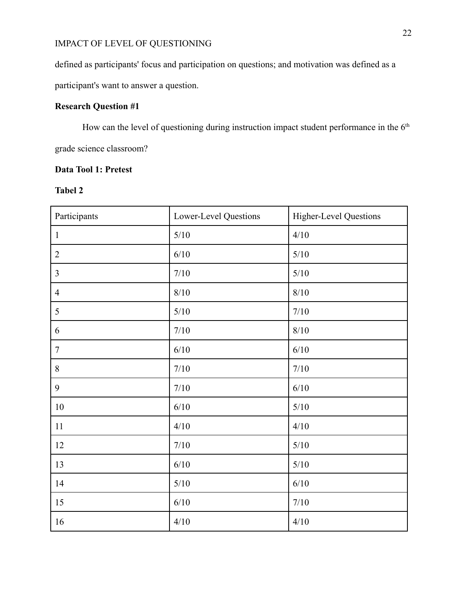defined as participants' focus and participation on questions; and motivation was defined as a participant's want to answer a question.

## **Research Question #1**

How can the level of questioning during instruction impact student performance in the  $6<sup>th</sup>$ grade science classroom?

## **Data Tool 1: Pretest**

## **Tabel 2**

| Participants   | Lower-Level Questions | <b>Higher-Level Questions</b> |
|----------------|-----------------------|-------------------------------|
| $\mathbf{1}$   | $5/10$                | 4/10                          |
| $\overline{2}$ | 6/10                  | $5/10$                        |
| $\overline{3}$ | $7/10$                | $5/10$                        |
| $\overline{4}$ | $8/10$                | $8/10$                        |
| 5              | $5/10$                | $7/10$                        |
| 6              | $7/10$                | $8/10$                        |
| $\tau$         | 6/10                  | $6/10$                        |
| 8              | $7/10$                | $7/10$                        |
| 9              | $7/10$                | $6/10$                        |
| 10             | $6/10$                | $5/10$                        |
| 11             | 4/10                  | 4/10                          |
| 12             | $7/10$                | $5/10$                        |
| 13             | 6/10                  | $5/10$                        |
| 14             | $5/10$                | $6/10$                        |
| 15             | 6/10                  | $7/10$                        |
| 16             | 4/10                  | 4/10                          |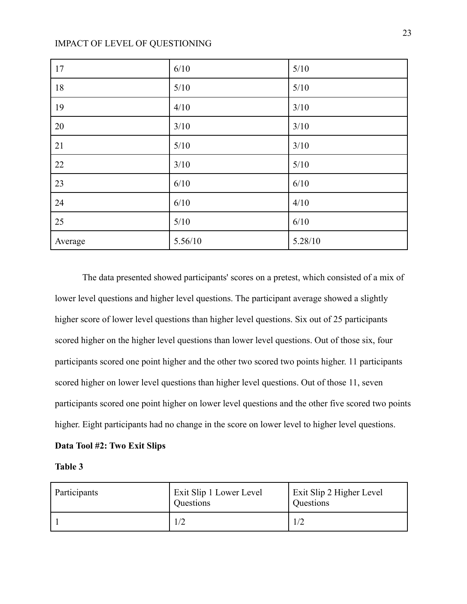| 17      | 6/10    | $5/10$  |
|---------|---------|---------|
| 18      | $5/10$  | $5/10$  |
| 19      | 4/10    | 3/10    |
| 20      | 3/10    | 3/10    |
| 21      | 5/10    | 3/10    |
| 22      | 3/10    | 5/10    |
| 23      | 6/10    | 6/10    |
| 24      | 6/10    | 4/10    |
| 25      | 5/10    | 6/10    |
| Average | 5.56/10 | 5.28/10 |

The data presented showed participants' scores on a pretest, which consisted of a mix of lower level questions and higher level questions. The participant average showed a slightly higher score of lower level questions than higher level questions. Six out of 25 participants scored higher on the higher level questions than lower level questions. Out of those six, four participants scored one point higher and the other two scored two points higher. 11 participants scored higher on lower level questions than higher level questions. Out of those 11, seven participants scored one point higher on lower level questions and the other five scored two points higher. Eight participants had no change in the score on lower level to higher level questions.

#### **Data Tool #2: Two Exit Slips**

#### **Table 3**

| Participants | Exit Slip 1 Lower Level<br>Questions | Exit Slip 2 Higher Level<br>Questions |
|--------------|--------------------------------------|---------------------------------------|
|              |                                      |                                       |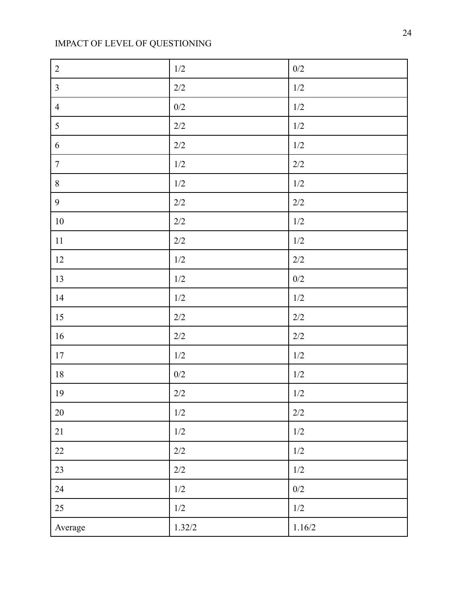| $\overline{2}$ | $1/2\,$ | $0/2\,$ |
|----------------|---------|---------|
| $\overline{3}$ | $2/2\,$ | $1/2\,$ |
| $\overline{4}$ | $0/2$   | 1/2     |
| 5              | $2/2\,$ | $1/2$   |
| 6              | $2/2\,$ | $1/2$   |
| $\overline{7}$ | $1/2\,$ | $2/2\,$ |
| $8\,$          | $1/2$   | $1/2\,$ |
| $\overline{9}$ | $2/2$   | $2/2$   |
| $10\,$         | $2/2\,$ | $1/2\,$ |
| 11             | $2/2\,$ | $1/2$   |
| 12             | $1/2\,$ | $2/2\,$ |
| 13             | $1/2\,$ | $0/2\,$ |
| 14             | $1/2\,$ | $1/2\,$ |
| 15             | $2/2\,$ | 2/2     |
| 16             | $2/2\,$ | $2/2$   |
| 17             | $1/2\,$ | $1/2$   |
| $18\,$         | $0/2$   | 1/2     |
| 19             | $2/2\,$ | $1/2\,$ |
| $20\,$         | $1/2$   | $2/2$   |
| 21             | 1/2     | 1/2     |
| 22             | $2/2$   | $1/2\,$ |
| 23             | $2/2\,$ | $1/2\,$ |
| 24             | $1/2\,$ | $0/2$   |
| 25             | $1/2$   | $1/2\,$ |
| Average        | 1.32/2  | 1.16/2  |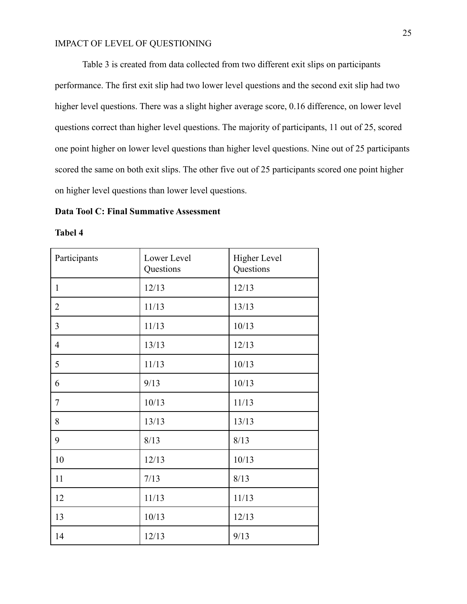Table 3 is created from data collected from two different exit slips on participants performance. The first exit slip had two lower level questions and the second exit slip had two higher level questions. There was a slight higher average score, 0.16 difference, on lower level questions correct than higher level questions. The majority of participants, 11 out of 25, scored one point higher on lower level questions than higher level questions. Nine out of 25 participants scored the same on both exit slips. The other five out of 25 participants scored one point higher on higher level questions than lower level questions.

#### **Data Tool C: Final Summative Assessment**

**Tabel 4**

| Participants   | Lower Level<br>Questions | Higher Level<br>Questions |
|----------------|--------------------------|---------------------------|
| $\mathbf{1}$   | 12/13                    | 12/13                     |
| $\overline{2}$ | 11/13                    | 13/13                     |
| 3              | 11/13                    | 10/13                     |
| $\overline{4}$ | 13/13                    | 12/13                     |
| 5              | 11/13                    | 10/13                     |
| 6              | 9/13                     | 10/13                     |
| 7              | 10/13                    | 11/13                     |
| 8              | 13/13                    | 13/13                     |
| 9              | 8/13                     | 8/13                      |
| 10             | 12/13                    | 10/13                     |
| 11             | 7/13                     | 8/13                      |
| 12             | 11/13                    | 11/13                     |
| 13             | 10/13                    | 12/13                     |
| 14             | 12/13                    | 9/13                      |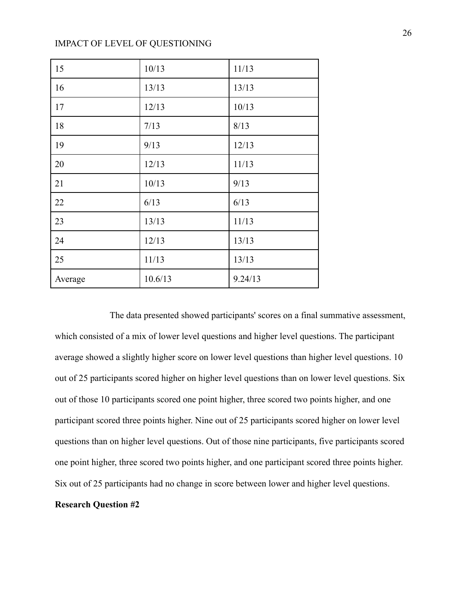| 15      | 10/13   | 11/13   |
|---------|---------|---------|
| 16      | 13/13   | 13/13   |
| 17      | 12/13   | 10/13   |
| 18      | 7/13    | 8/13    |
| 19      | 9/13    | 12/13   |
| 20      | 12/13   | 11/13   |
| 21      | 10/13   | 9/13    |
| 22      | 6/13    | 6/13    |
| 23      | 13/13   | 11/13   |
| 24      | 12/13   | 13/13   |
| 25      | 11/13   | 13/13   |
| Average | 10.6/13 | 9.24/13 |

The data presented showed participants' scores on a final summative assessment, which consisted of a mix of lower level questions and higher level questions. The participant average showed a slightly higher score on lower level questions than higher level questions. 10 out of 25 participants scored higher on higher level questions than on lower level questions. Six out of those 10 participants scored one point higher, three scored two points higher, and one participant scored three points higher. Nine out of 25 participants scored higher on lower level questions than on higher level questions. Out of those nine participants, five participants scored one point higher, three scored two points higher, and one participant scored three points higher. Six out of 25 participants had no change in score between lower and higher level questions. **Research Question #2**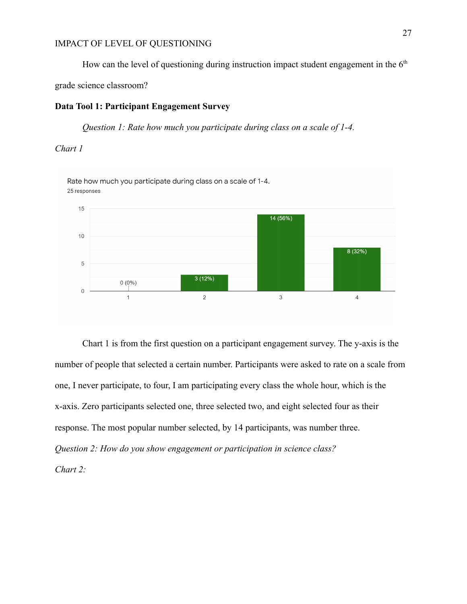How can the level of questioning during instruction impact student engagement in the  $6<sup>th</sup>$ 

grade science classroom?

### **Data Tool 1: Participant Engagement Survey**

*Question 1: Rate how much you participate during class on a scale of 1-4.*

#### *Chart 1*

Rate how much you participate during class on a scale of 1-4. 25 responses



Chart 1 is from the first question on a participant engagement survey. The y-axis is the number of people that selected a certain number. Participants were asked to rate on a scale from one, I never participate, to four, I am participating every class the whole hour, which is the x-axis. Zero participants selected one, three selected two, and eight selected four as their response. The most popular number selected, by 14 participants, was number three. *Question 2: How do you show engagement or participation in science class? Chart 2:*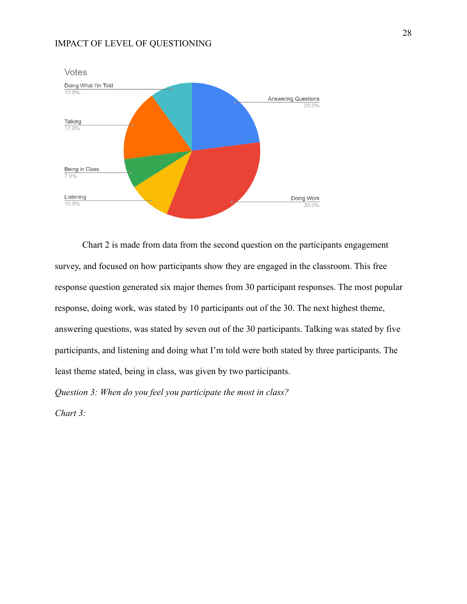

Chart 2 is made from data from the second question on the participants engagement survey, and focused on how participants show they are engaged in the classroom. This free response question generated six major themes from 30 participant responses. The most popular response, doing work, was stated by 10 participants out of the 30. The next highest theme, answering questions, was stated by seven out of the 30 participants. Talking was stated by five participants, and listening and doing what I'm told were both stated by three participants. The least theme stated, being in class, was given by two participants.

*Question 3: When do you feel you participate the most in class?*

*Chart 3:*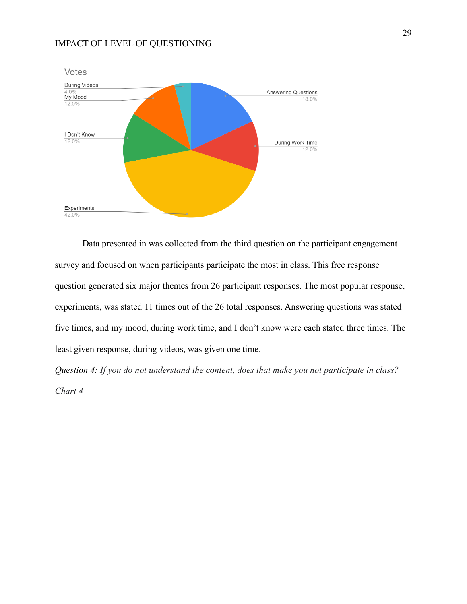

Data presented in was collected from the third question on the participant engagement survey and focused on when participants participate the most in class. This free response question generated six major themes from 26 participant responses. The most popular response, experiments, was stated 11 times out of the 26 total responses. Answering questions was stated five times, and my mood, during work time, and I don't know were each stated three times. The least given response, during videos, was given one time.

*Question 4: If you do not understand the content, does that make you not participate in class? Chart 4*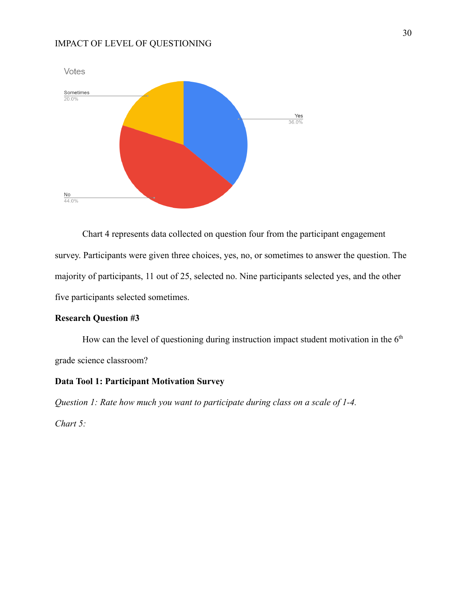

Chart 4 represents data collected on question four from the participant engagement survey. Participants were given three choices, yes, no, or sometimes to answer the question. The majority of participants, 11 out of 25, selected no. Nine participants selected yes, and the other five participants selected sometimes.

#### **Research Question #3**

How can the level of questioning during instruction impact student motivation in the  $6<sup>th</sup>$ grade science classroom?

#### **Data Tool 1: Participant Motivation Survey**

*Question 1: Rate how much you want to participate during class on a scale of 1-4.*

*Chart 5:*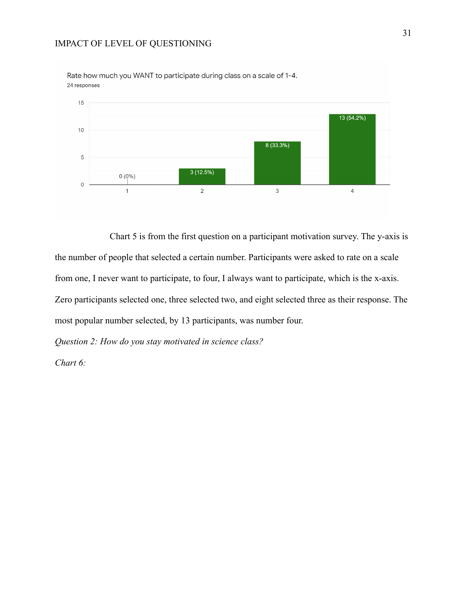

Rate how much you WANT to participate during class on a scale of 1-4. 24 responses

Chart 5 is from the first question on a participant motivation survey. The y-axis is the number of people that selected a certain number. Participants were asked to rate on a scale from one, I never want to participate, to four, I always want to participate, which is the x-axis. Zero participants selected one, three selected two, and eight selected three as their response. The most popular number selected, by 13 participants, was number four.

*Question 2: How do you stay motivated in science class?*

*Chart 6:*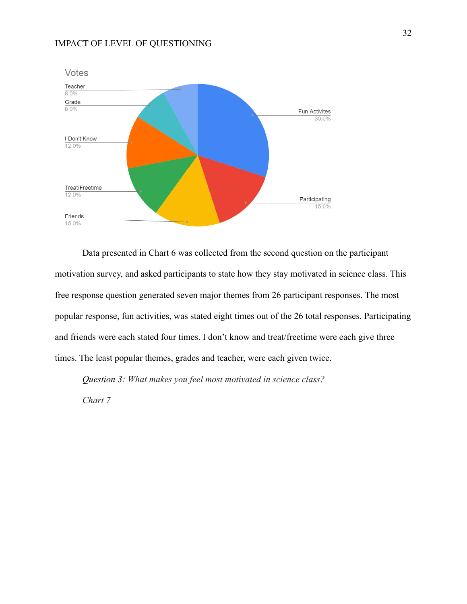

Data presented in Chart 6 was collected from the second question on the participant motivation survey, and asked participants to state how they stay motivated in science class. This free response question generated seven major themes from 26 participant responses. The most popular response, fun activities, was stated eight times out of the 26 total responses. Participating and friends were each stated four times. I don't know and treat/freetime were each give three times. The least popular themes, grades and teacher, were each given twice.

*Question 3: What makes you feel most motivated in science class? Chart 7*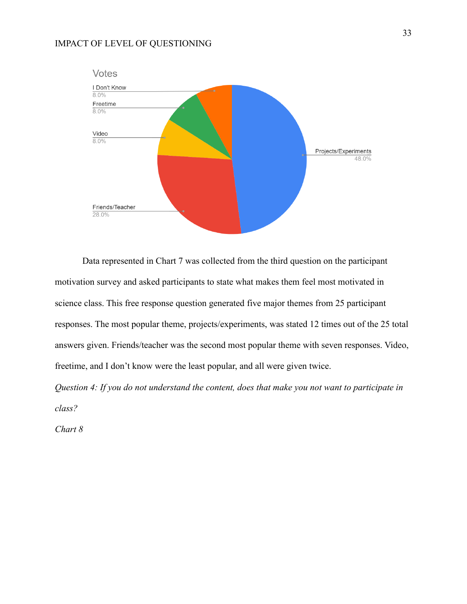

Data represented in Chart 7 was collected from the third question on the participant motivation survey and asked participants to state what makes them feel most motivated in science class. This free response question generated five major themes from 25 participant responses. The most popular theme, projects/experiments, was stated 12 times out of the 25 total answers given. Friends/teacher was the second most popular theme with seven responses. Video, freetime, and I don't know were the least popular, and all were given twice.

*Question 4: If you do not understand the content, does that make you not want to participate in class?*

*Chart 8*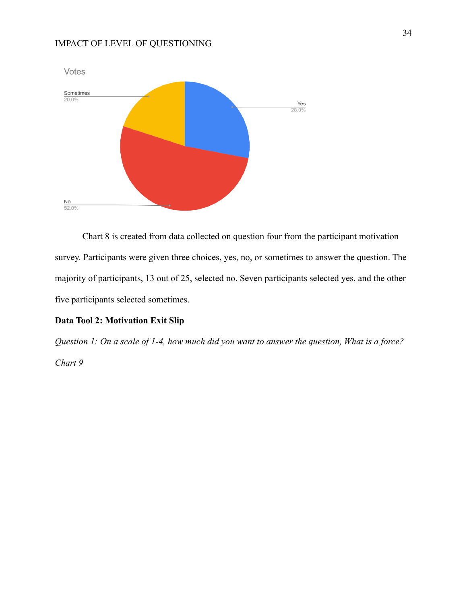

Chart 8 is created from data collected on question four from the participant motivation survey. Participants were given three choices, yes, no, or sometimes to answer the question. The majority of participants, 13 out of 25, selected no. Seven participants selected yes, and the other five participants selected sometimes.

### **Data Tool 2: Motivation Exit Slip**

*Question 1: On a scale of 1-4, how much did you want to answer the question, What is a force?*

*Chart 9*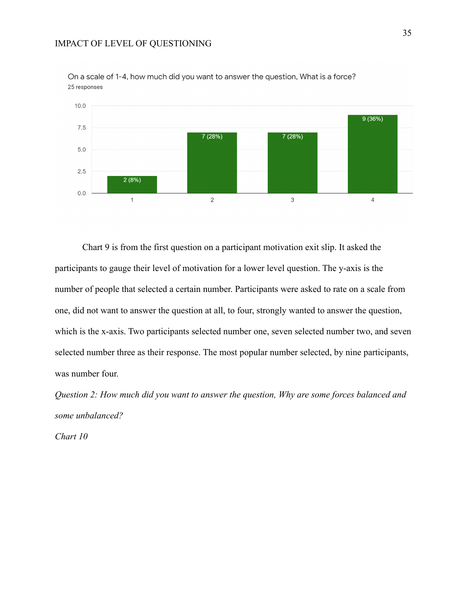

On a scale of 1-4, how much did you want to answer the question, What is a force? 25 responses

Chart 9 is from the first question on a participant motivation exit slip. It asked the participants to gauge their level of motivation for a lower level question. The y-axis is the number of people that selected a certain number. Participants were asked to rate on a scale from one, did not want to answer the question at all, to four, strongly wanted to answer the question, which is the x-axis. Two participants selected number one, seven selected number two, and seven selected number three as their response. The most popular number selected, by nine participants, was number four.

*Question 2: How much did you want to answer the question, Why are some forces balanced and some unbalanced?*

*Chart 10*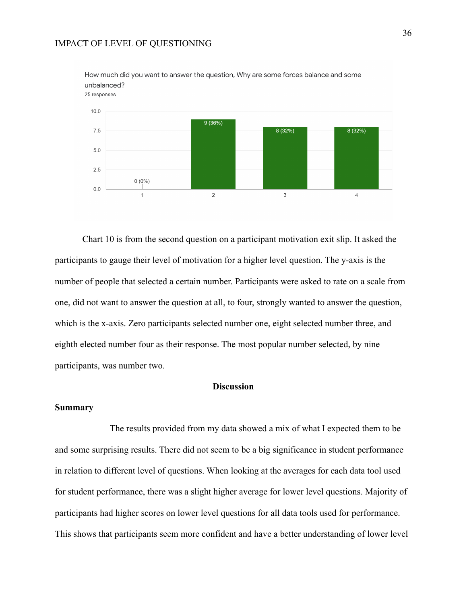

How much did you want to answer the question, Why are some forces balance and some unbalanced?

Chart 10 is from the second question on a participant motivation exit slip. It asked the participants to gauge their level of motivation for a higher level question. The y-axis is the number of people that selected a certain number. Participants were asked to rate on a scale from one, did not want to answer the question at all, to four, strongly wanted to answer the question, which is the x-axis. Zero participants selected number one, eight selected number three, and eighth elected number four as their response. The most popular number selected, by nine participants, was number two.

#### **Discussion**

#### **Summary**

The results provided from my data showed a mix of what I expected them to be and some surprising results. There did not seem to be a big significance in student performance in relation to different level of questions. When looking at the averages for each data tool used for student performance, there was a slight higher average for lower level questions. Majority of participants had higher scores on lower level questions for all data tools used for performance. This shows that participants seem more confident and have a better understanding of lower level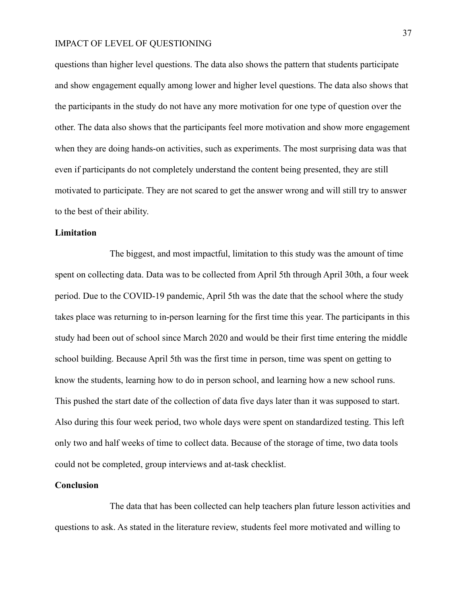questions than higher level questions. The data also shows the pattern that students participate and show engagement equally among lower and higher level questions. The data also shows that the participants in the study do not have any more motivation for one type of question over the other. The data also shows that the participants feel more motivation and show more engagement when they are doing hands-on activities, such as experiments. The most surprising data was that even if participants do not completely understand the content being presented, they are still motivated to participate. They are not scared to get the answer wrong and will still try to answer to the best of their ability.

#### **Limitation**

The biggest, and most impactful, limitation to this study was the amount of time spent on collecting data. Data was to be collected from April 5th through April 30th, a four week period. Due to the COVID-19 pandemic, April 5th was the date that the school where the study takes place was returning to in-person learning for the first time this year. The participants in this study had been out of school since March 2020 and would be their first time entering the middle school building. Because April 5th was the first time in person, time was spent on getting to know the students, learning how to do in person school, and learning how a new school runs. This pushed the start date of the collection of data five days later than it was supposed to start. Also during this four week period, two whole days were spent on standardized testing. This left only two and half weeks of time to collect data. Because of the storage of time, two data tools could not be completed, group interviews and at-task checklist.

#### **Conclusion**

The data that has been collected can help teachers plan future lesson activities and questions to ask. As stated in the literature review, students feel more motivated and willing to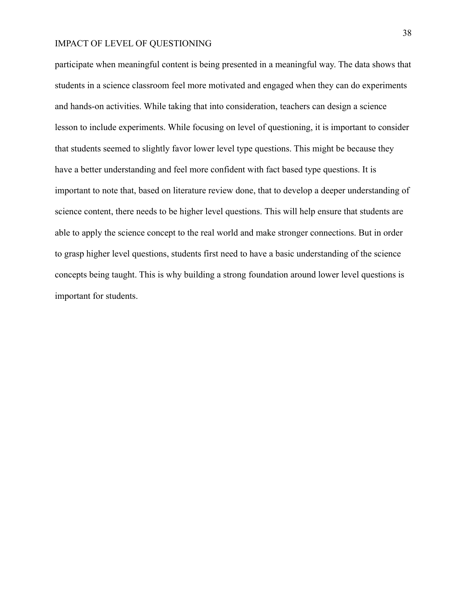participate when meaningful content is being presented in a meaningful way. The data shows that students in a science classroom feel more motivated and engaged when they can do experiments and hands-on activities. While taking that into consideration, teachers can design a science lesson to include experiments. While focusing on level of questioning, it is important to consider that students seemed to slightly favor lower level type questions. This might be because they have a better understanding and feel more confident with fact based type questions. It is important to note that, based on literature review done, that to develop a deeper understanding of science content, there needs to be higher level questions. This will help ensure that students are able to apply the science concept to the real world and make stronger connections. But in order to grasp higher level questions, students first need to have a basic understanding of the science concepts being taught. This is why building a strong foundation around lower level questions is important for students.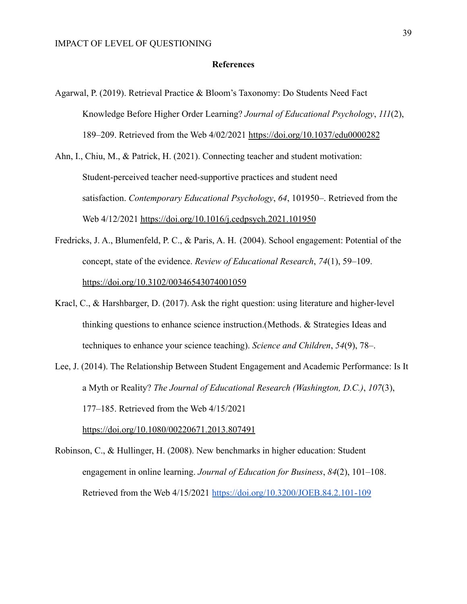#### **References**

- Agarwal, P. (2019). Retrieval Practice & Bloom's Taxonomy: Do Students Need Fact Knowledge Before Higher Order Learning? *Journal of Educational Psychology*, *111*(2), 189–209. Retrieved from the Web 4/02/2021 <https://doi.org/10.1037/edu0000282>
- Ahn, I., Chiu, M., & Patrick, H. (2021). Connecting teacher and student motivation: Student-perceived teacher need-supportive practices and student need satisfaction. *Contemporary Educational Psychology*, *64*, 101950–. Retrieved from the Web 4/12/2021 <https://doi.org/10.1016/j.cedpsych.2021.101950>
- Fredricks, J. A., Blumenfeld, P. C., & Paris, A. H. (2004). School engagement: Potential of the concept, state of the evidence. *Review of Educational Research*, *74*(1), 59–109. <https://doi.org/10.3102/00346543074001059>
- Kracl, C., & Harshbarger, D. (2017). Ask the right question: using literature and higher-level thinking questions to enhance science instruction.(Methods. & Strategies Ideas and techniques to enhance your science teaching). *Science and Children*, *54*(9), 78–.
- Lee, J. (2014). The Relationship Between Student Engagement and Academic Performance: Is It a Myth or Reality? *The Journal of Educational Research (Washington, D.C.)*, *107*(3), 177–185. Retrieved from the Web 4/15/2021 <https://doi.org/10.1080/00220671.2013.807491>
- Robinson, C., & Hullinger, H. (2008). New benchmarks in higher education: Student engagement in online learning. *Journal of Education for Business*, *84*(2), 101–108. Retrieved from the Web 4/15/2021 <https://doi.org/10.3200/JOEB.84.2.101-109>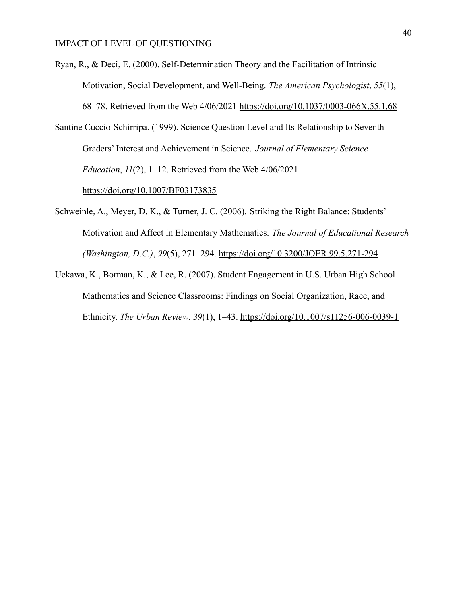- Ryan, R., & Deci, E. (2000). Self-Determination Theory and the Facilitation of Intrinsic Motivation, Social Development, and Well-Being. *The American Psychologist*, *55*(1), 68–78. Retrieved from the Web 4/06/2021 <https://doi.org/10.1037/0003-066X.55.1.68>
- Santine Cuccio-Schirripa. (1999). Science Question Level and Its Relationship to Seventh Graders' Interest and Achievement in Science. *Journal of Elementary Science Education*, *11*(2), 1–12. Retrieved from the Web 4/06/2021

<https://doi.org/10.1007/BF03173835>

- Schweinle, A., Meyer, D. K., & Turner, J. C. (2006). Striking the Right Balance: Students' Motivation and Affect in Elementary Mathematics. *The Journal of Educational Research (Washington, D.C.)*, *99*(5), 271–294. <https://doi.org/10.3200/JOER.99.5.271-294>
- Uekawa, K., Borman, K., & Lee, R. (2007). Student Engagement in U.S. Urban High School Mathematics and Science Classrooms: Findings on Social Organization, Race, and Ethnicity. *The Urban Review*, *39*(1), 1–43. <https://doi.org/10.1007/s11256-006-0039-1>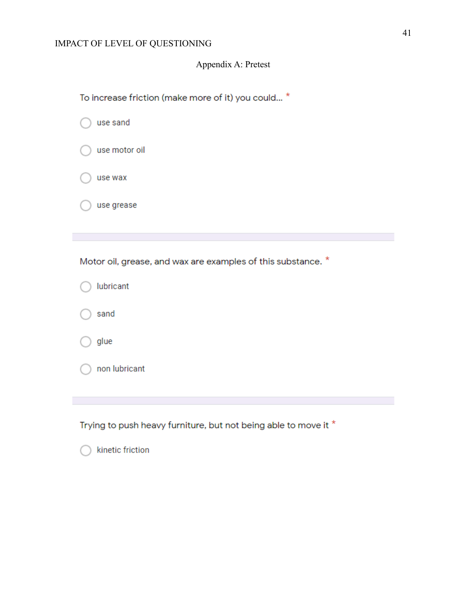## Appendix A: Pretest

| To increase friction (make more of it) you could *           |
|--------------------------------------------------------------|
| use sand                                                     |
| use motor oil                                                |
| use wax                                                      |
| use grease                                                   |
|                                                              |
| Motor oil, grease, and wax are examples of this substance. * |
|                                                              |
| lubricant                                                    |
| sand                                                         |
| glue                                                         |
| non lubricant                                                |
|                                                              |

kinetic friction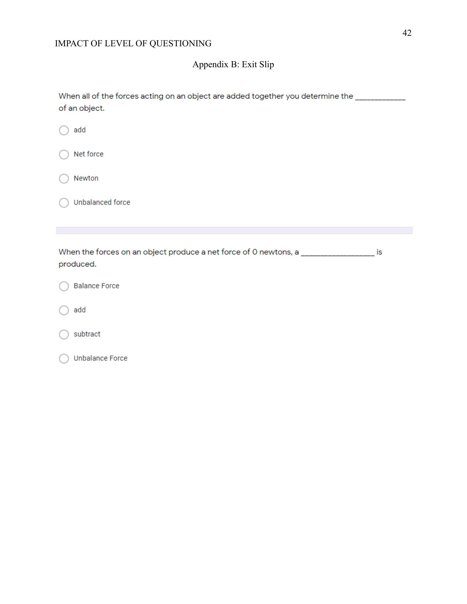## Appendix B: Exit Slip

| When all of the forces acting on an object are added together you determine the<br>of an object. |
|--------------------------------------------------------------------------------------------------|
| add                                                                                              |
| Net force<br>ι.                                                                                  |
| Newton                                                                                           |

Unbalanced force

When the forces on an object produce a net force of 0 newtons, a \_\_\_\_\_\_\_\_\_\_\_\_\_\_\_\_\_ is produced.

|  | <b>Balance Force</b> |  |
|--|----------------------|--|
|  |                      |  |

add

subtract

Unbalance Force C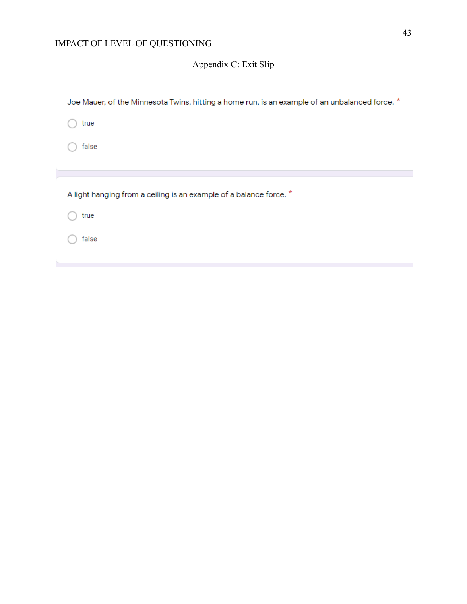# Appendix C: Exit Slip

| Joe Mauer, of the Minnesota Twins, hitting a home run, is an example of an unbalanced force. * |  |
|------------------------------------------------------------------------------------------------|--|
| true                                                                                           |  |
| false                                                                                          |  |
|                                                                                                |  |
|                                                                                                |  |
| A light hanging from a ceiling is an example of a balance force. *                             |  |
| true                                                                                           |  |
| false                                                                                          |  |
|                                                                                                |  |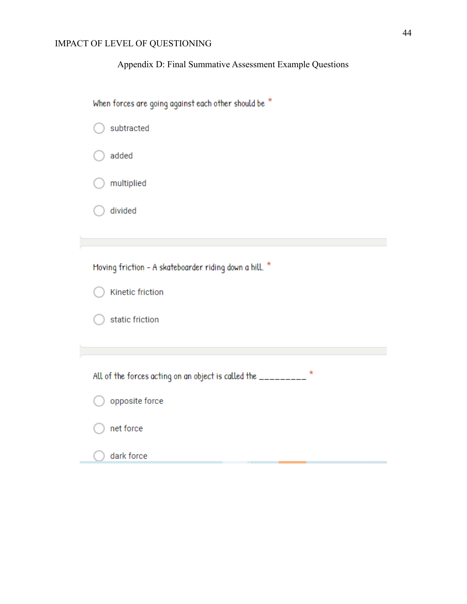## Appendix D: Final Summative Assessment Example Questions

| When forces are going against each other should be $^{\star}$ |  |  |
|---------------------------------------------------------------|--|--|
|---------------------------------------------------------------|--|--|

| subtracted                                                      |
|-----------------------------------------------------------------|
| added                                                           |
| multiplied                                                      |
| divided                                                         |
|                                                                 |
| Moving friction - A skateboarder riding down a hill. *          |
| Kinetic friction                                                |
| static friction                                                 |
|                                                                 |
| *<br>All of the forces acting on an object is called the ______ |
| opposite force                                                  |
| net force                                                       |
| dark force                                                      |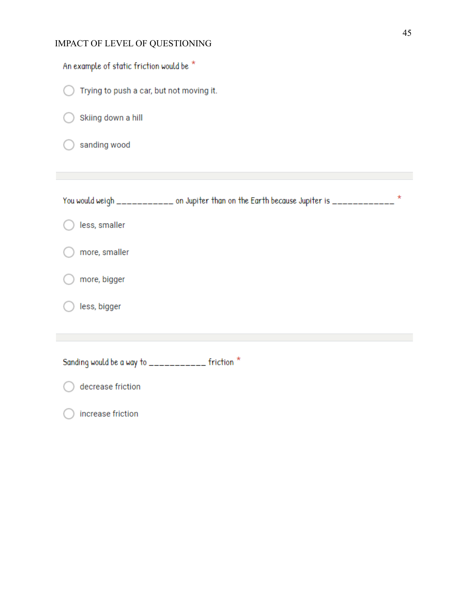| An example of static friction would be *                                                   |
|--------------------------------------------------------------------------------------------|
| Trying to push a car, but not moving it.                                                   |
| Skiing down a hill                                                                         |
| sanding wood                                                                               |
|                                                                                            |
| *<br>You would weigh ___________ on Jupiter than on the Earth because Jupiter is _________ |
| less, smaller                                                                              |
| more, smaller                                                                              |
| more, bigger                                                                               |
| less, bigger                                                                               |
|                                                                                            |
| Sanding would be a way to ___________ friction *                                           |
| decrease friction                                                                          |
| increase friction                                                                          |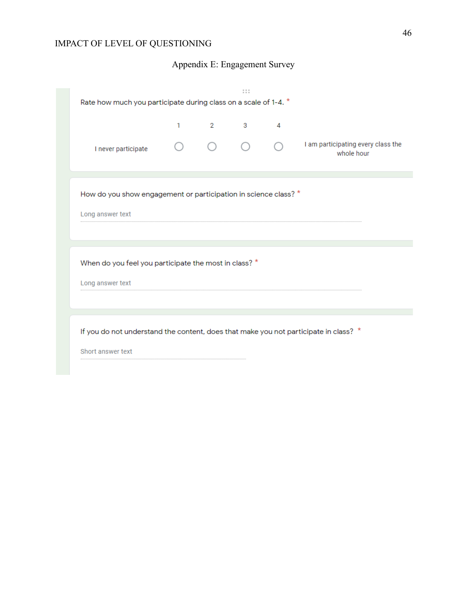# Appendix E: Engagement Survey

| Rate how much you participate during class on a scale of 1-4. *                      |   |               | 1.1.1        |                |                                                  |  |  |
|--------------------------------------------------------------------------------------|---|---------------|--------------|----------------|--------------------------------------------------|--|--|
|                                                                                      | 1 | $\mathcal{P}$ | $\mathbf{3}$ | $\overline{4}$ |                                                  |  |  |
| I never participate                                                                  |   |               |              |                | I am participating every class the<br>whole hour |  |  |
| How do you show engagement or participation in science class? *                      |   |               |              |                |                                                  |  |  |
| Long answer text                                                                     |   |               |              |                |                                                  |  |  |
|                                                                                      |   |               |              |                |                                                  |  |  |
| When do you feel you participate the most in class? *                                |   |               |              |                |                                                  |  |  |
| Long answer text                                                                     |   |               |              |                |                                                  |  |  |
|                                                                                      |   |               |              |                |                                                  |  |  |
| If you do not understand the content, does that make you not participate in class? * |   |               |              |                |                                                  |  |  |
| Short answer text                                                                    |   |               |              |                |                                                  |  |  |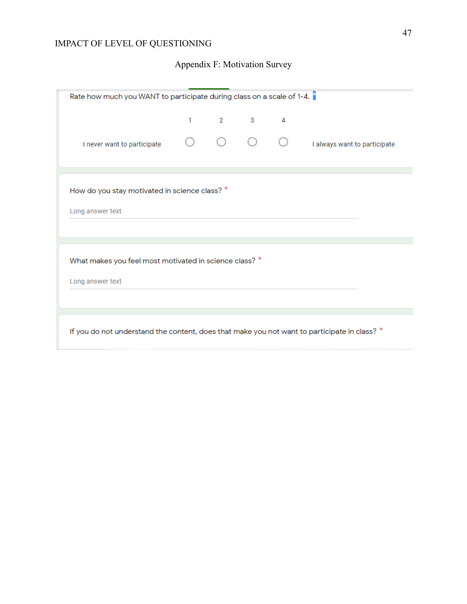# Appendix F: Motivation Survey

| Rate how much you WANT to participate during class on a scale of 1-4. $\hat{a}$              |   |  |          |   |                              |  |
|----------------------------------------------------------------------------------------------|---|--|----------|---|------------------------------|--|
|                                                                                              | 1 |  | $2 \t 3$ | 4 |                              |  |
| I never want to participate                                                                  |   |  |          |   | I always want to participate |  |
| How do you stay motivated in science class? *                                                |   |  |          |   |                              |  |
| Long answer text                                                                             |   |  |          |   |                              |  |
| What makes you feel most motivated in science class? *<br>Long answer text                   |   |  |          |   |                              |  |
|                                                                                              |   |  |          |   |                              |  |
| If you do not understand the content, does that make you not want to participate in class? * |   |  |          |   |                              |  |